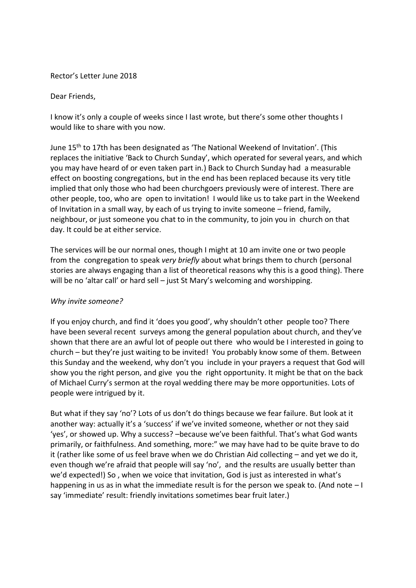## Rector's Letter June 2018

## Dear Friends,

I know it's only a couple of weeks since I last wrote, but there's some other thoughts I would like to share with you now.

June 15th to 17th has been designated as 'The National Weekend of Invitation'. (This replaces the initiative 'Back to Church Sunday', which operated for several years, and which you may have heard of or even taken part in.) Back to Church Sunday had a measurable effect on boosting congregations, but in the end has been replaced because its very title implied that only those who had been churchgoers previously were of interest. There are other people, too, who are open to invitation! I would like us to take part in the Weekend of Invitation in a small way, by each of us trying to invite someone – friend, family, neighbour, or just someone you chat to in the community, to join you in church on that day. It could be at either service.

The services will be our normal ones, though I might at 10 am invite one or two people from the congregation to speak *very briefly* about what brings them to church (personal stories are always engaging than a list of theoretical reasons why this is a good thing). There will be no 'altar call' or hard sell – just St Mary's welcoming and worshipping.

## *Why invite someone?*

If you enjoy church, and find it 'does you good', why shouldn't other people too? There have been several recent surveys among the general population about church, and they've shown that there are an awful lot of people out there who would be I interested in going to church – but they're just waiting to be invited! You probably know some of them. Between this Sunday and the weekend, why don't you include in your prayers a request that God will show you the right person, and give you the right opportunity. It might be that on the back of Michael Curry's sermon at the royal wedding there may be more opportunities. Lots of people were intrigued by it.

But what if they say 'no'? Lots of us don't do things because we fear failure. But look at it another way: actually it's a 'success' if we've invited someone, whether or not they said 'yes', or showed up. Why a success? –because we've been faithful. That's what God wants primarily, or faithfulness. And something, more:" we may have had to be quite brave to do it (rather like some of us feel brave when we do Christian Aid collecting – and yet we do it, even though we're afraid that people will say 'no', and the results are usually better than we'd expected!) So, when we voice that invitation, God is just as interested in what's happening in us as in what the immediate result is for the person we speak to. (And note – I say 'immediate' result: friendly invitations sometimes bear fruit later.)